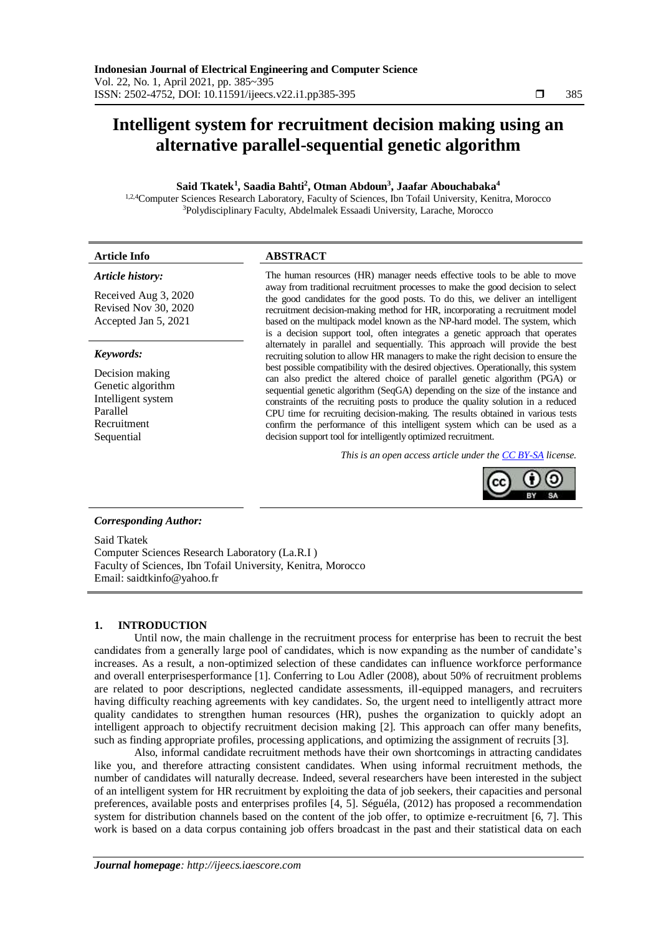# **Intelligent system for recruitment decision making using an alternative parallel-sequential genetic algorithm**

## **Said Tkatek<sup>1</sup> , Saadia Bahti<sup>2</sup> , Otman Abdoun<sup>3</sup> , Jaafar Abouchabaka<sup>4</sup>**

1,2,4Computer Sciences Research Laboratory, Faculty of Sciences, Ibn Tofail University, Kenitra, Morocco <sup>3</sup>Polydisciplinary Faculty, Abdelmalek Essaadi University, Larache, Morocco

| Article Info                                                                                                                                                                                                                                                                                                                                               | <b>ABSTRACT</b>                                                                                                                                                  |  |  |  |  |  |
|------------------------------------------------------------------------------------------------------------------------------------------------------------------------------------------------------------------------------------------------------------------------------------------------------------------------------------------------------------|------------------------------------------------------------------------------------------------------------------------------------------------------------------|--|--|--|--|--|
| Article history:                                                                                                                                                                                                                                                                                                                                           | The human resources (HR) manager needs effective tools to be able to move                                                                                        |  |  |  |  |  |
| Received Aug 3, 2020<br>$\mathbb{R}$ $\mathbb{R}$ $\mathbb{R}$ $\mathbb{R}$ $\mathbb{R}$ $\mathbb{R}$ $\mathbb{R}$ $\mathbb{R}$ $\mathbb{R}$ $\mathbb{R}$ $\mathbb{R}$ $\mathbb{R}$ $\mathbb{R}$ $\mathbb{R}$ $\mathbb{R}$ $\mathbb{R}$ $\mathbb{R}$ $\mathbb{R}$ $\mathbb{R}$ $\mathbb{R}$ $\mathbb{R}$ $\mathbb{R}$ $\mathbb{R}$ $\mathbb{R}$ $\mathbb{$ | away from traditional recruitment processes to make the good decision to select<br>the good candidates for the good posts. To do this, we deliver an intelligent |  |  |  |  |  |

Revised Nov 30, 2020 Accepted Jan 5, 2021

#### *Keywords:*

Decision making Genetic algorithm Intelligent system Parallel Recruitment Sequential

recruitment decision-making method for HR, incorporating a recruitment model based on the multipack model known as the NP-hard model. The system, which is a decision support tool, often integrates a genetic approach that operates alternately in parallel and sequentially. This approach will provide the best recruiting solution to allow HR managers to make the right decision to ensure the best possible compatibility with the desired objectives. Operationally, this system can also predict the altered choice of parallel genetic algorithm (PGA) or sequential genetic algorithm (SeqGA) depending on the size of the instance and constraints of the recruiting posts to produce the quality solution in a reduced CPU time for recruiting decision-making. The results obtained in various tests confirm the performance of this intelligent system which can be used as a decision support tool for intelligently optimized recruitment.

*This is an open access article under the [CC BY-SA](https://creativecommons.org/licenses/by-sa/4.0/) license.*



## *Corresponding Author:*

Said Tkatek Computer Sciences Research Laboratory (La.R.I ) Faculty of Sciences, Ibn Tofail University, Kenitra, Morocco Email: [saidtkinfo@yahoo.fr](mailto:saidtkinfo@yahoo.fr)

# **1. INTRODUCTION**

Until now, the main challenge in the recruitment process for enterprise has been to recruit the best candidates from a generally large pool of candidates, which is now expanding as the number of candidate's increases. As a result, a non-optimized selection of these candidates can influence workforce performance and overall enterprisesperformance [1]. Conferring to Lou Adler (2008), about 50% of recruitment problems are related to poor descriptions, neglected candidate assessments, ill-equipped managers, and recruiters having difficulty reaching agreements with key candidates. So, the urgent need to intelligently attract more quality candidates to strengthen human resources (HR), pushes the organization to quickly adopt an intelligent approach to objectify recruitment decision making [2]. This approach can offer many benefits, such as finding appropriate profiles, processing applications, and optimizing the assignment of recruits [3].

Also, informal candidate recruitment methods have their own shortcomings in attracting candidates like you, and therefore attracting consistent candidates. When using informal recruitment methods, the number of candidates will naturally decrease. Indeed, several researchers have been interested in the subject of an intelligent system for HR recruitment by exploiting the data of job seekers, their capacities and personal preferences, available posts and enterprises profiles [4, 5]. Séguéla, (2012) has proposed a recommendation system for distribution channels based on the content of the job offer, to optimize e-recruitment [6, 7]. This work is based on a data corpus containing job offers broadcast in the past and their statistical data on each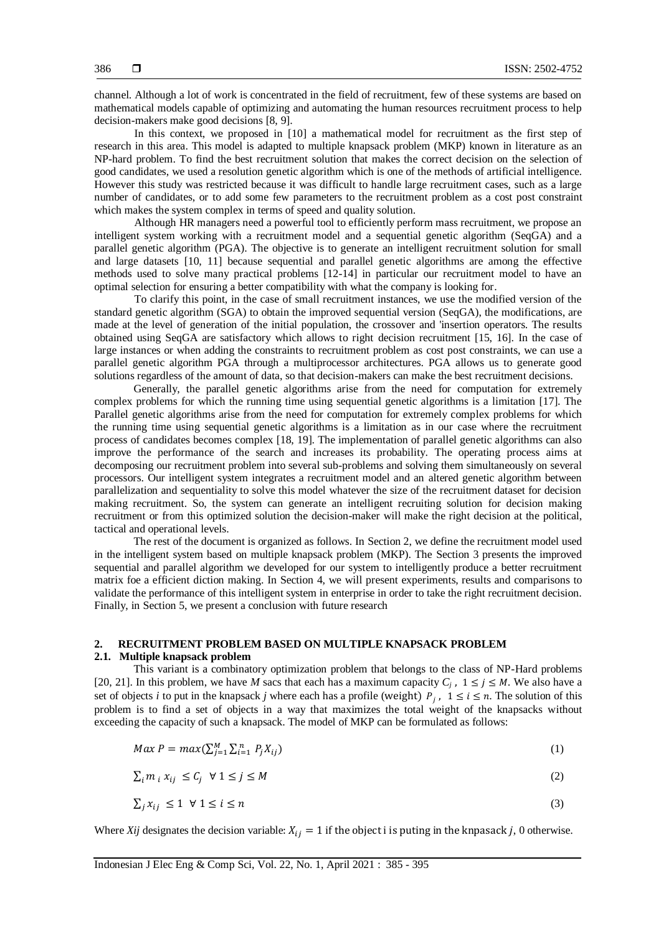channel. Although a lot of work is concentrated in the field of recruitment, few of these systems are based on mathematical models capable of optimizing and automating the human resources recruitment process to help decision-makers make good decisions [8, 9].

In this context, we proposed in [10] a mathematical model for recruitment as the first step of research in this area. This model is adapted to multiple knapsack problem (MKP) known in literature as an NP-hard problem. To find the best recruitment solution that makes the correct decision on the selection of good candidates, we used a resolution genetic algorithm which is one of the methods of artificial intelligence. However this study was restricted because it was difficult to handle large recruitment cases, such as a large number of candidates, or to add some few parameters to the recruitment problem as a cost post constraint which makes the system complex in terms of speed and quality solution.

Although HR managers need a powerful tool to efficiently perform mass recruitment, we propose an intelligent system working with a recruitment model and a sequential genetic algorithm (SeqGA) and a parallel genetic algorithm (PGA). The objective is to generate an intelligent recruitment solution for small and large datasets [10, 11] because sequential and parallel genetic algorithms are among the effective methods used to solve many practical problems [12-14] in particular our recruitment model to have an optimal selection for ensuring a better compatibility with what the company is looking for.

To clarify this point, in the case of small recruitment instances, we use the modified version of the standard genetic algorithm (SGA) to obtain the improved sequential version (SeqGA), the modifications, are made at the level of generation of the initial population, the crossover and 'insertion operators. The results obtained using SeqGA are satisfactory which allows to right decision recruitment [15, 16]. In the case of large instances or when adding the constraints to recruitment problem as cost post constraints, we can use a parallel genetic algorithm PGA through a multiprocessor architectures. PGA allows us to generate good solutions regardless of the amount of data, so that decision-makers can make the best recruitment decisions.

Generally, the parallel genetic algorithms arise from the need for computation for extremely complex problems for which the running time using sequential genetic algorithms is a limitation [17]. The Parallel genetic algorithms arise from the need for computation for extremely complex problems for which the running time using sequential genetic algorithms is a limitation as in our case where the recruitment process of candidates becomes complex [18, 19]. The implementation of parallel genetic algorithms can also improve the performance of the search and increases its probability. The operating process aims at decomposing our recruitment problem into several sub-problems and solving them simultaneously on several processors. Our intelligent system integrates a recruitment model and an altered genetic algorithm between parallelization and sequentiality to solve this model whatever the size of the recruitment dataset for decision making recruitment. So, the system can generate an intelligent recruiting solution for decision making recruitment or from this optimized solution the decision-maker will make the right decision at the political, tactical and operational levels.

The rest of the document is organized as follows. In Section 2, we define the recruitment model used in the intelligent system based on multiple knapsack problem (MKP). The Section 3 presents the improved sequential and parallel algorithm we developed for our system to intelligently produce a better recruitment matrix foe a efficient diction making. In Section 4, we will present experiments, results and comparisons to validate the performance of this intelligent system in enterprise in order to take the right recruitment decision. Finally, in Section 5, we present a conclusion with future research

## **2. RECRUITMENT PROBLEM BASED ON MULTIPLE KNAPSACK PROBLEM**

#### **2.1. Multiple knapsack problem**

This variant is a combinatory optimization problem that belongs to the class of NP-Hard problems [20, 21]. In this problem, we have *M* sacs that each has a maximum capacity  $C_j$ ,  $1 \le j \le M$ . We also have a set of objects *i* to put in the knapsack *j* where each has a profile (weight)  $P_j$ ,  $1 \le i \le n$ . The solution of this problem is to find a set of objects in a way that maximizes the total weight of the knapsacks without exceeding the capacity of such a knapsack. The model of MKP can be formulated as follows:

$$
Max P = max(\sum_{j=1}^{M} \sum_{i=1}^{n} P_j X_{ij})
$$
\n
$$
(1)
$$

$$
\sum_{i} m_{i} x_{ij} \le C_{j} \quad \forall \ 1 \le j \le M
$$

$$
\sum_{j} x_{ij} \le 1 \quad \forall \ 1 \le i \le n \tag{3}
$$

Where *Xij* designates the decision variable:  $X_{ij} = 1$  if the object i is puting in the knpasack *j*, 0 otherwise.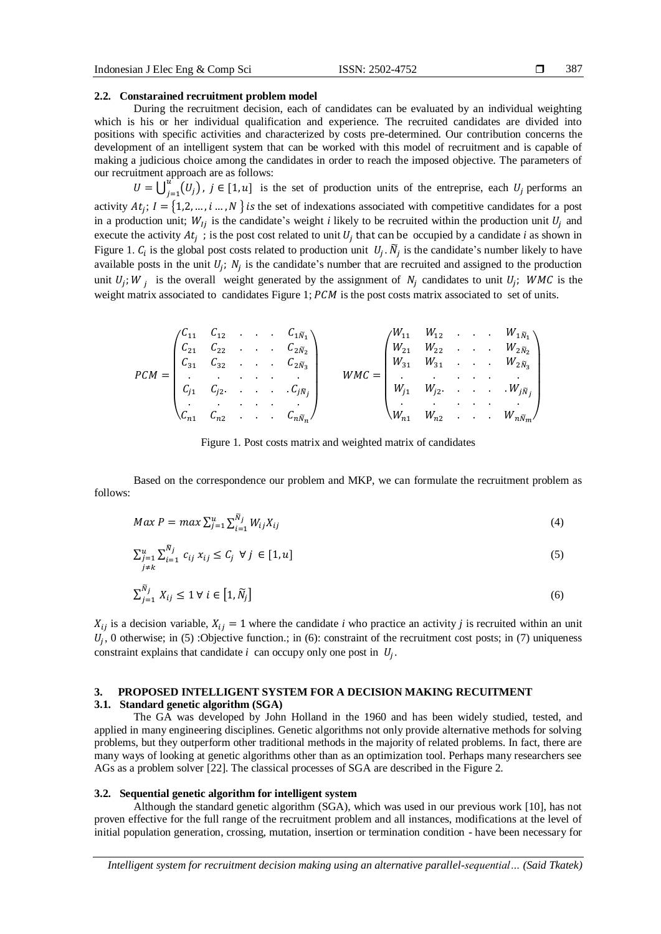#### **2.2. Constarained recruitment problem model**

During the recruitment decision, each of candidates can be evaluated by an individual weighting which is his or her individual qualification and experience. The recruited candidates are divided into positions with specific activities and characterized by costs pre-determined. Our contribution concerns the development of an intelligent system that can be worked with this model of recruitment and is capable of making a judicious choice among the candidates in order to reach the imposed objective. The parameters of our recruitment approach are as follows:

 $U = \bigcup_{i=1}^{u} (U_i)$  $\int_{j=1}^{a} (U_j)$ ,  $j \in [1, u]$  is the set of production units of the entreprise, each  $U_j$  performs and activity  $At_j$ ;  $I = \{1,2,...,i...$ , N is the set of indexations associated with competitive candidates for a post in a production unit;  $W_{1i}$  is the candidate's weight *i* likely to be recruited within the production unit  $U_i$  and execute the activity  $At_j$ ; is the post cost related to unit  $U_j$  that can be occupied by a candidate *i* as shown in Figure 1.  $C_i$  is the global post costs related to production unit  $U_j$ .  $\tilde{N}_j$  is the candidate's number likely to have available posts in the unit  $U_j$ ;  $N_j$  is the candidate's number that are recruited and assigned to the production unit  $U_j$ ;  $W_j$  is the overall weight generated by the assignment of  $N_j$  candidates to unit  $U_j$ ; WMC is the weight matrix associated to candidates Figure 1;  $PCM$  is the post costs matrix associated to set of units.

$$
PCM = \begin{pmatrix} C_{11} & C_{12} & \cdots & C_{1N_1} \\ C_{21} & C_{22} & \cdots & C_{2N_2} \\ C_{31} & C_{32} & \cdots & C_{2N_3} \\ \vdots & \vdots & \ddots & \vdots \\ C_{j1} & C_{j2} & \cdots & C_{jN_j} \\ C_{n1} & C_{n2} & \cdots & C_{nN_n} \end{pmatrix} \qquad WMC = \begin{pmatrix} W_{11} & W_{12} & \cdots & W_{1N_1} \\ W_{21} & W_{22} & \cdots & W_{2N_2} \\ W_{31} & W_{31} & \cdots & W_{3N_3} \\ \vdots & \vdots & \ddots & \vdots \\ W_{j1} & W_{j2} & \cdots & W_{jN_j} \\ W_{n1} & W_{n2} & \cdots & W_{nN_m} \end{pmatrix}
$$

Figure 1. Post costs matrix and weighted matrix of candidates

Based on the correspondence our problem and MKP, we can formulate the recruitment problem as follows:

$$
Max\ P = max\ \sum_{j=1}^{u} \sum_{i=1}^{\tilde{N}_j} W_{ij} X_{ij}
$$
\n(4)

$$
\sum_{\substack{j=1 \ j \neq k}}^u \sum_{i=1}^{\tilde{N}_j} c_{ij} x_{ij} \le C_j \ \forall \ j \in [1, u]
$$
\n
$$
(5)
$$

$$
\sum_{j=1}^{N_j} X_{ij} \le 1 \,\forall \, i \in \left[1, \widetilde{N}_j\right] \tag{6}
$$

 $X_{ij}$  is a decision variable,  $X_{ij} = 1$  where the candidate *i* who practice an activity *j* is recruited within an unit  $U_j$ , 0 otherwise; in (5) :Objective function.; in (6): constraint of the recruitment cost posts; in (7) uniqueness constraint explains that candidate  $i$  can occupy only one post in  $U_j$ .

## **3. PROPOSED INTELLIGENT SYSTEM FOR A DECISION MAKING RECUITMENT**

#### **3.1. Standard genetic algorithm (SGA)**

The GA was developed by John Holland in the 1960 and has been widely studied, tested, and applied in many engineering disciplines. Genetic algorithms not only provide alternative methods for solving problems, but they outperform other traditional methods in the majority of related problems. In fact, there are many ways of looking at genetic algorithms other than as an optimization tool. Perhaps many researchers see AGs as a problem solver [22]. The classical processes of SGA are described in the Figure 2.

## **3.2. Sequential genetic algorithm for intelligent system**

Although the standard genetic algorithm (SGA), which was used in our previous work [10], has not proven effective for the full range of the recruitment problem and all instances, modifications at the level of initial population generation, crossing, mutation, insertion or termination condition - have been necessary for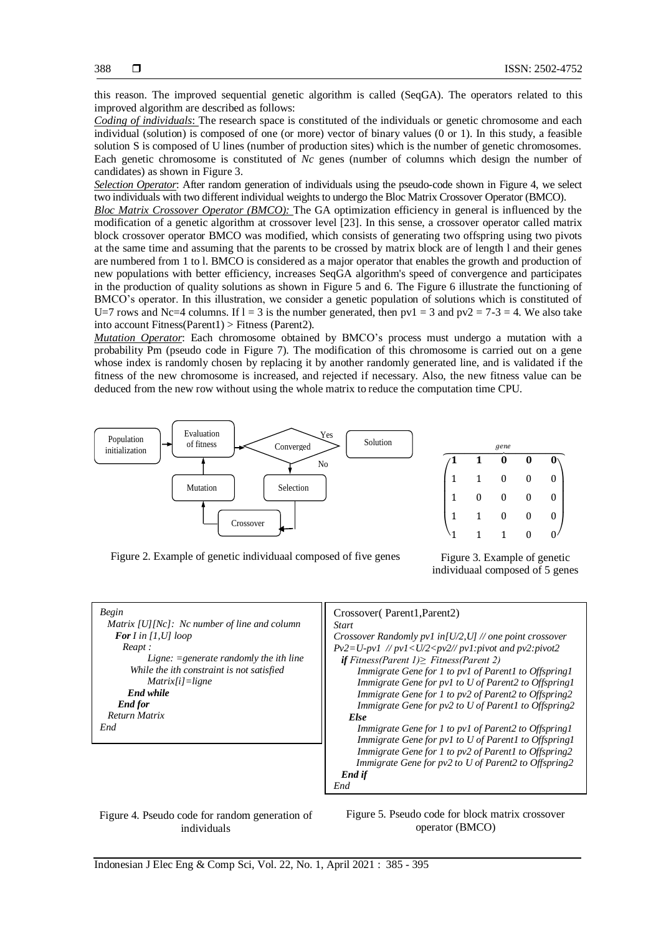this reason. The improved sequential genetic algorithm is called (SeqGA). The operators related to this improved algorithm are described as follows:

*Coding of individuals*: The research space is constituted of the individuals or genetic chromosome and each individual (solution) is composed of one (or more) vector of binary values (0 or 1). In this study, a feasible solution S is composed of U lines (number of production sites) which is the number of genetic chromosomes. Each genetic chromosome is constituted of *Nc* genes (number of columns which design the number of candidates) as shown in Figure 3.

*Selection Operator*: After random generation of individuals using the pseudo-code shown in Figure 4, we select two individuals with two different individual weights to undergo the Bloc Matrix Crossover Operator (BMCO).

*Bloc Matrix Crossover Operator (BMCO):* The GA optimization efficiency in general is influenced by the modification of a genetic algorithm at crossover level [23]. In this sense, a crossover operator called matrix block crossover operator BMCO was modified, which consists of generating two offspring using two pivots at the same time and assuming that the parents to be crossed by matrix block are of length l and their genes are numbered from 1 to l. BMCO is considered as a major operator that enables the growth and production of new populations with better efficiency, increases SeqGA algorithm's speed of convergence and participates in the production of quality solutions as shown in Figure 5 and 6. The Figure 6 illustrate the functioning of BMCO's operator. In this illustration, we consider a genetic population of solutions which is constituted of U=7 rows and Nc=4 columns. If  $l = 3$  is the number generated, then  $pv1 = 3$  and  $pv2 = 7-3 = 4$ . We also take into account Fitness(Parent1) > Fitness (Parent2).

*Mutation Operator*: Each chromosome obtained by BMCO's process must undergo a mutation with a probability Pm (pseudo code in Figure 7). The modification of this chromosome is carried out on a gene whose index is randomly chosen by replacing it by another randomly generated line, and is validated if the fitness of the new chromosome is increased, and rejected if necessary. Also, the new fitness value can be deduced from the new row without using the whole matrix to reduce the computation time CPU.



Figure 2. Example of genetic individuaal composed of five genes Figure 3. Example of genetic

individuaal composed of 5 genes



Figure 4. Pseudo code for random generation of individuals

Figure 5. Pseudo code for block matrix crossover operator (BMCO)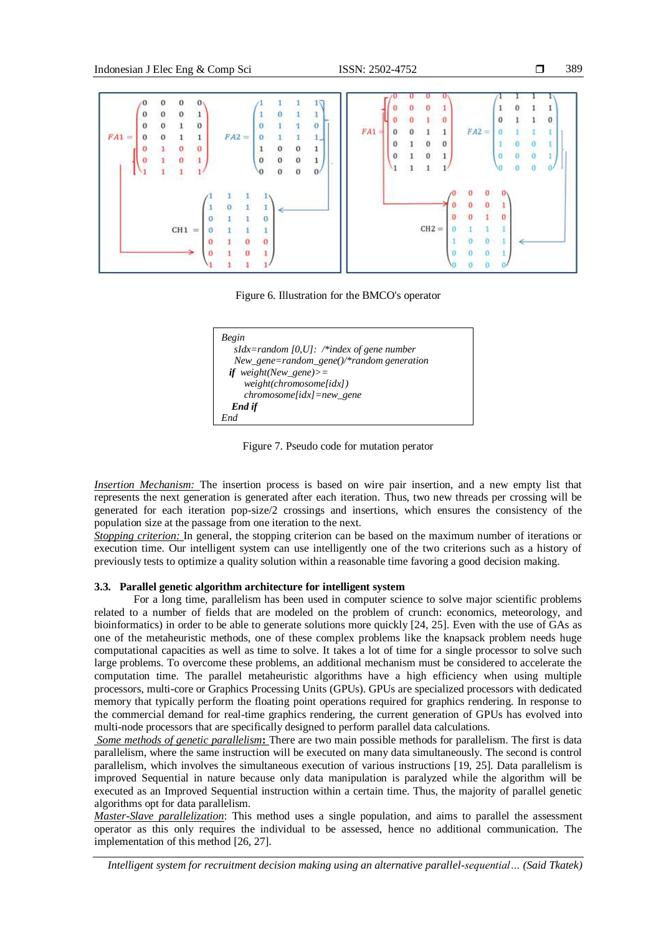```
389
```


Figure 6. Illustration for the BMCO's operator



Figure 7. Pseudo code for mutation perator

*Insertion Mechanism:* The insertion process is based on wire pair insertion, and a new empty list that represents the next generation is generated after each iteration. Thus, two new threads per crossing will be generated for each iteration pop-size/2 crossings and insertions, which ensures the consistency of the population size at the passage from one iteration to the next.

*Stopping criterion:* In general, the stopping criterion can be based on the maximum number of iterations or execution time. Our intelligent system can use intelligently one of the two criterions such as a history of previously tests to optimize a quality solution within a reasonable time favoring a good decision making.

## **3.3. Parallel genetic algorithm architecture for intelligent system**

For a long time, parallelism has been used in computer science to solve major scientific problems related to a number of fields that are modeled on the problem of crunch: economics, meteorology, and bioinformatics) in order to be able to generate solutions more quickly [24, 25]. Even with the use of GAs as one of the metaheuristic methods, one of these complex problems like the knapsack problem needs huge computational capacities as well as time to solve. It takes a lot of time for a single processor to solve such large problems. To overcome these problems, an additional mechanism must be considered to accelerate the computation time. The parallel metaheuristic algorithms have a high efficiency when using multiple processors, multi-core or Graphics Processing Units (GPUs). GPUs are specialized processors with dedicated memory that typically perform the floating point operations required for graphics rendering. In response to the commercial demand for real-time graphics rendering, the current generation of GPUs has evolved into multi-node processors that are specifically designed to perform parallel data calculations.

*Some methods of genetic parallelism***:** There are two main possible methods for parallelism. The first is data parallelism, where the same instruction will be executed on many data simultaneously. The second is control parallelism, which involves the simultaneous execution of various instructions [19, 25]. Data parallelism is improved Sequential in nature because only data manipulation is paralyzed while the algorithm will be executed as an Improved Sequential instruction within a certain time. Thus, the majority of parallel genetic algorithms opt for data parallelism.

*Master-Slave parallelization*: This method uses a single population, and aims to parallel the assessment operator as this only requires the individual to be assessed, hence no additional communication. The implementation of this method [26, 27].

*Intelligent system for recruitment decision making using an alternative parallel-sequential… (Said Tkatek)*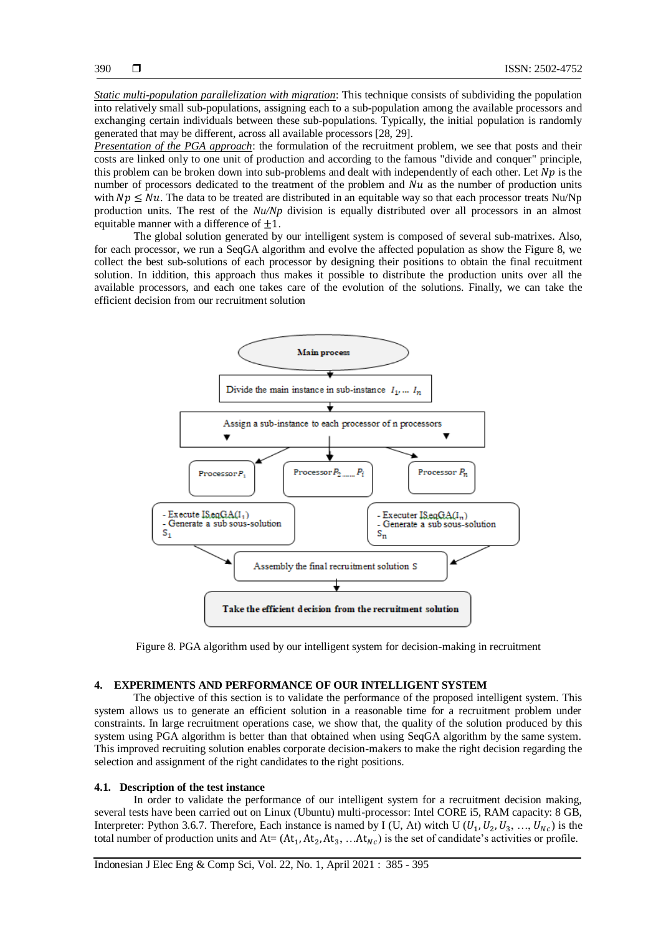*Static multi-population parallelization with migration*: This technique consists of subdividing the population into relatively small sub-populations, assigning each to a sub-population among the available processors and exchanging certain individuals between these sub-populations. Typically, the initial population is randomly generated that may be different, across all available processors [28, 29].

*Presentation of the PGA approach*: the formulation of the recruitment problem, we see that posts and their costs are linked only to one unit of production and according to the famous "divide and conquer" principle, this problem can be broken down into sub-problems and dealt with independently of each other. Let  $Np$  is the number of processors dedicated to the treatment of the problem and  $Nu$  as the number of production units with  $Np \leq Nu$ . The data to be treated are distributed in an equitable way so that each processor treats Nu/Np production units. The rest of the *Nu/Np* division is equally distributed over all processors in an almost equitable manner with a difference of  $\pm 1$ .

The global solution generated by our intelligent system is composed of several sub-matrixes. Also, for each processor, we run a SeqGA algorithm and evolve the affected population as show the Figure 8, we collect the best sub-solutions of each processor by designing their positions to obtain the final recuitment solution. In iddition, this approach thus makes it possible to distribute the production units over all the available processors, and each one takes care of the evolution of the solutions. Finally, we can take the efficient decision from our recruitment solution



Figure 8. PGA algorithm used by our intelligent system for decision-making in recruitment

### **4. EXPERIMENTS AND PERFORMANCE OF OUR INTELLIGENT SYSTEM**

The objective of this section is to validate the performance of the proposed intelligent system. This system allows us to generate an efficient solution in a reasonable time for a recruitment problem under constraints. In large recruitment operations case, we show that, the quality of the solution produced by this system using PGA algorithm is better than that obtained when using SeqGA algorithm by the same system. This improved recruiting solution enables corporate decision-makers to make the right decision regarding the selection and assignment of the right candidates to the right positions.

#### **4.1. Description of the test instance**

In order to validate the performance of our intelligent system for a recruitment decision making, several tests have been carried out on Linux (Ubuntu) multi-processor: Intel CORE i5, RAM capacity: 8 GB, Interpreter: Python 3.6.7. Therefore, Each instance is named by I (U, At) witch U ( $U_1, U_2, U_3, ..., U_{Nc}$ ) is the total number of production units and  $At = (At_1, At_2, At_3, ... At_{Nc})$  is the set of candidate's activities or profile.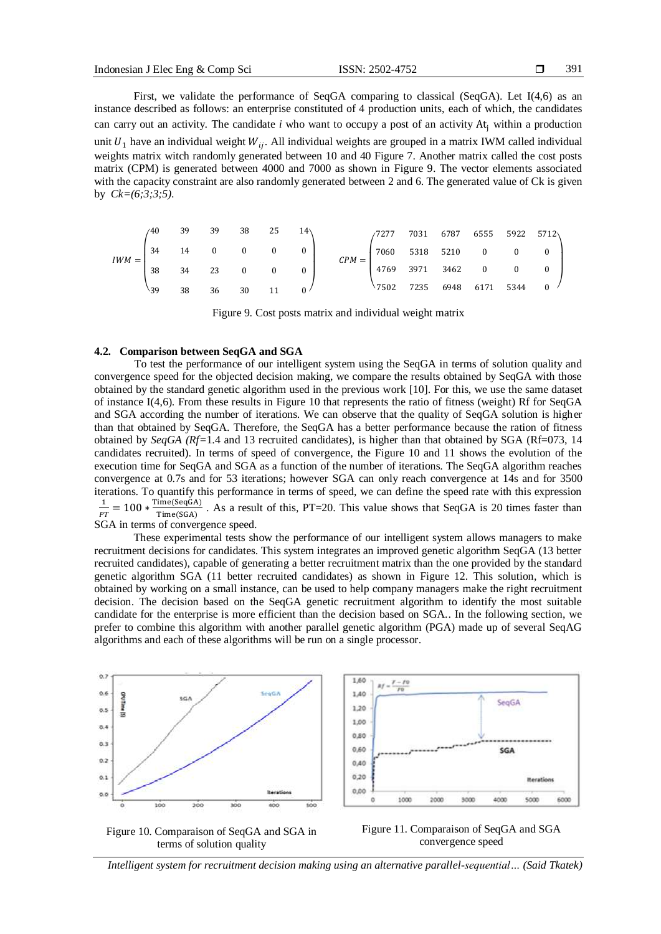First, we validate the performance of SeqGA comparing to classical (SeqGA). Let I(4,6) as an instance described as follows: an enterprise constituted of 4 production units, each of which, the candidates can carry out an activity. The candidate *i* who want to occupy a post of an activity At<sub>i</sub> within a production unit  $U_1$  have an individual weight  $W_{ii}$ . All individual weights are grouped in a matrix IWM called individual weights matrix witch randomly generated between 10 and 40 Figure 7. Another matrix called the cost posts matrix (CPM) is generated between 4000 and 7000 as shown in Figure 9. The vector elements associated with the capacity constraint are also randomly generated between 2 and 6. The generated value of Ck is given by *Ck=(6;3;3;5)*.

| $IWM =$ | 40   | 39 |              | 39 38 25 |              |  |         | /7277            | 7031 | 6787 6555 5922 5712 |                |              |              |
|---------|------|----|--------------|----------|--------------|--|---------|------------------|------|---------------------|----------------|--------------|--------------|
|         | 34   | 14 | $\mathbf{0}$ | $\bf{0}$ | $\mathbf{0}$ |  | $CPM =$ | 7060 5318 5210   |      |                     | $\overline{0}$ | $\mathbf{0}$ |              |
|         | 38   | 34 | 23           | $\bf{0}$ | $\mathbf{0}$ |  |         | 4769 3971 3462 0 |      |                     |                | $\mathbf{0}$ |              |
|         | \$39 | 38 | 36           | 30       | 11           |  |         | 7502 7235        |      | 6948 6171 5344      |                |              | $\mathbf{0}$ |

Figure 9. Cost posts matrix and individual weight matrix

#### **4.2. Comparison between SeqGA and SGA**

To test the performance of our intelligent system using the SeqGA in terms of solution quality and convergence speed for the objected decision making, we compare the results obtained by SeqGA with those obtained by the standard genetic algorithm used in the previous work [10]. For this, we use the same dataset of instance I(4,6). From these results in Figure 10 that represents the ratio of fitness (weight) Rf for SeqGA and SGA according the number of iterations. We can observe that the quality of SeqGA solution is higher than that obtained by SeqGA. Therefore, the SeqGA has a better performance because the ration of fitness obtained by *SeqGA (Rf=*1.4 and 13 recruited candidates), is higher than that obtained by SGA (Rf=073, 14 candidates recruited). In terms of speed of convergence, the Figure 10 and 11 shows the evolution of the execution time for SeqGA and SGA as a function of the number of iterations. The SeqGA algorithm reaches convergence at 0.7s and for 53 iterations; however SGA can only reach convergence at 14s and for 3500 iterations. To quantify this performance in terms of speed, we can define the speed rate with this expression 1  $PT$  $= 100 * \frac{\text{Time}(\text{SeqGA})}{\text{Time}(\text{SGA})}$ . As a result of this, PT=20. This value shows that SeqGA is 20 times faster than Time(SGA) SGA in terms of convergence speed.

These experimental tests show the performance of our intelligent system allows managers to make recruitment decisions for candidates. This system integrates an improved genetic algorithm SeqGA (13 better recruited candidates), capable of generating a better recruitment matrix than the one provided by the standard genetic algorithm SGA (11 better recruited candidates) as shown in Figure 12. This solution, which is obtained by working on a small instance, can be used to help company managers make the right recruitment decision. The decision based on the SeqGA genetic recruitment algorithm to identify the most suitable candidate for the enterprise is more efficient than the decision based on SGA.. In the following section, we prefer to combine this algorithm with another parallel genetic algorithm (PGA) made up of several SeqAG algorithms and each of these algorithms will be run on a single processor.



 $0.20$  $0.00$ é 1000  $2000$ 



Figure 10. Comparaison of SeqGA and SGA in terms of solution quality



*Intelligent system for recruitment decision making using an alternative parallel-sequential… (Said Tkatek)*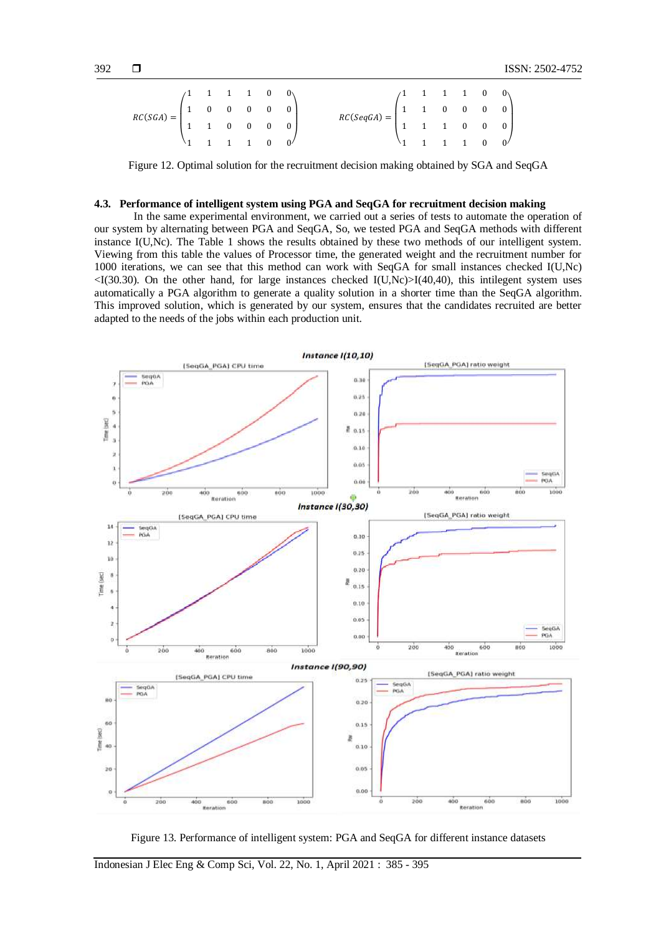|                                                                                               |  |  |  | $RC(SeqGA) = \begin{pmatrix} 1 & 1 & 1 & 1 & 0 & 0 \\ 1 & 1 & 0 & 0 & 0 & 0 \\ 1 & 1 & 1 & 0 & 0 & 0 \\ 1 & 1 & 1 & 1 & 0 & 0 \end{pmatrix}$ |  |  |  |
|-----------------------------------------------------------------------------------------------|--|--|--|----------------------------------------------------------------------------------------------------------------------------------------------|--|--|--|
| $RC(SGA)=\begin{pmatrix} 1&1&1&1&0&0\\ 1&0&0&0&0&0\\ 1&1&0&0&0&0\\ 1&1&1&1&0&0 \end{pmatrix}$ |  |  |  |                                                                                                                                              |  |  |  |
|                                                                                               |  |  |  |                                                                                                                                              |  |  |  |

Figure 12. Optimal solution for the recruitment decision making obtained by SGA and SeqGA

## **4.3. Performance of intelligent system using PGA and SeqGA for recruitment decision making**

In the same experimental environment, we carried out a series of tests to automate the operation of our system by alternating between PGA and SeqGA, So, we tested PGA and SeqGA methods with different instance I(U,Nc). The Table 1 shows the results obtained by these two methods of our intelligent system. Viewing from this table the values of Processor time, the generated weight and the recruitment number for 1000 iterations, we can see that this method can work with SeqGA for small instances checked I(U,Nc)  $\langle$ I(30.30). On the other hand, for large instances checked I(U,Nc) $>$ I(40,40), this intilegent system uses automatically a PGA algorithm to generate a quality solution in a shorter time than the SeqGA algorithm. This improved solution, which is generated by our system, ensures that the candidates recruited are better adapted to the needs of the jobs within each production unit.



Figure 13. Performance of intelligent system: PGA and SeqGA for different instance datasets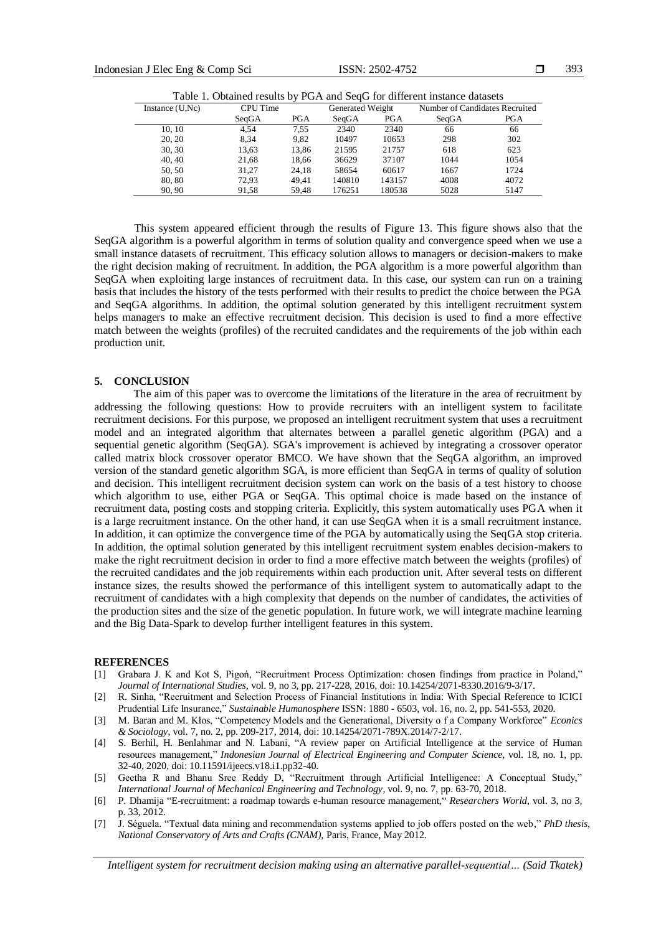| Table 1. Obtained results by PGA and SeqG for different instance datasets |          |      |                  |            |                                |            |  |  |  |  |
|---------------------------------------------------------------------------|----------|------|------------------|------------|--------------------------------|------------|--|--|--|--|
| Instance $(U, Nc)$                                                        | CPU Time |      | Generated Weight |            | Number of Candidates Recruited |            |  |  |  |  |
|                                                                           | SeaGA    | PGA  | SeaGA            | <b>PGA</b> | SeaGA                          | <b>PGA</b> |  |  |  |  |
| 10.10                                                                     | 4.54     | 7.55 | 2340             | 2340       | 66                             | 66         |  |  |  |  |

|        | SeaGA | PGA   | SeaGA  | <b>PGA</b> | SeaGA | PGA  |
|--------|-------|-------|--------|------------|-------|------|
| 10.10  | 4.54  | 7.55  | 2340   | 2340       | 66    | 66   |
| 20, 20 | 8.34  | 9.82  | 10497  | 10653      | 298   | 302  |
| 30, 30 | 13,63 | 13.86 | 21595  | 21757      | 618   | 623  |
| 40.40  | 21.68 | 18.66 | 36629  | 37107      | 1044  | 1054 |
| 50, 50 | 31.27 | 24.18 | 58654  | 60617      | 1667  | 1724 |
| 80, 80 | 72.93 | 49.41 | 140810 | 143157     | 4008  | 4072 |
| 90.90  | 91.58 | 59.48 | 176251 | 180538     | 5028  | 5147 |

This system appeared efficient through the results of Figure 13. This figure shows also that the SeqGA algorithm is a powerful algorithm in terms of solution quality and convergence speed when we use a small instance datasets of recruitment. This efficacy solution allows to managers or decision-makers to make the right decision making of recruitment. In addition, the PGA algorithm is a more powerful algorithm than SeqGA when exploiting large instances of recruitment data. In this case, our system can run on a training basis that includes the history of the tests performed with their results to predict the choice between the PGA and SeqGA algorithms. In addition, the optimal solution generated by this intelligent recruitment system helps managers to make an effective recruitment decision. This decision is used to find a more effective match between the weights (profiles) of the recruited candidates and the requirements of the job within each production unit.

#### **5. CONCLUSION**

The aim of this paper was to overcome the limitations of the literature in the area of recruitment by addressing the following questions: How to provide recruiters with an intelligent system to facilitate recruitment decisions. For this purpose, we proposed an intelligent recruitment system that uses a recruitment model and an integrated algorithm that alternates between a parallel genetic algorithm (PGA) and a sequential genetic algorithm (SeqGA). SGA's improvement is achieved by integrating a crossover operator called matrix block crossover operator BMCO. We have shown that the SeqGA algorithm, an improved version of the standard genetic algorithm SGA, is more efficient than SeqGA in terms of quality of solution and decision. This intelligent recruitment decision system can work on the basis of a test history to choose which algorithm to use, either PGA or SeqGA. This optimal choice is made based on the instance of recruitment data, posting costs and stopping criteria. Explicitly, this system automatically uses PGA when it is a large recruitment instance. On the other hand, it can use SeqGA when it is a small recruitment instance. In addition, it can optimize the convergence time of the PGA by automatically using the SeqGA stop criteria. In addition, the optimal solution generated by this intelligent recruitment system enables decision-makers to make the right recruitment decision in order to find a more effective match between the weights (profiles) of the recruited candidates and the job requirements within each production unit. After several tests on different instance sizes, the results showed the performance of this intelligent system to automatically adapt to the recruitment of candidates with a high complexity that depends on the number of candidates, the activities of the production sites and the size of the genetic population. In future work, we will integrate machine learning and the Big Data-Spark to develop further intelligent features in this system.

#### **REFERENCES**

- [1] Grabara J. K and Kot S, Pigoń, "Recruitment Process Optimization: chosen findings from practice in Poland," *Journal of International Studies*, vol. 9, no 3, pp. 217-228, 2016, doi: 10.14254/2071-8330.2016/9-3/17.
- [2] R. Sinha, "Recruitment and Selection Process of Financial Institutions in India: With Special Reference to ICICI Prudential Life Insurance," *Sustainable Humanosphere* ISSN: 1880 - 6503, vol. 16, no. 2, pp. 541-553, 2020.
- [3] M. Baran and M. Kłos, "Competency Models and the Generational, Diversity o f a Company Workforce" *Econics & Sociology*, vol. 7, no. 2, pp. 209-217, 2014, doi: 10.14254/2071-789X.2014/7-2/17.
- [4] S. Berhil, H. Benlahmar and N. Labani, "A review paper on Artificial Intelligence at the service of Human resources management," *Indonesian Journal of Electrical Engineering and Computer Science*, vol. 18, no. 1, pp. 32-40, 2020, doi: 10.11591/ijeecs.v18.i1.pp32-40.
- [5] Geetha R and Bhanu Sree Reddy D, "Recruitment through Artificial Intelligence: A Conceptual Study," *International Journal of Mechanical Engineering and Technology*, vol. 9, no. 7, pp. 63-70, 2018.
- [6] P. Dhamija "E-recruitment: a roadmap towards e-human resource management*,*" *Researchers World*, vol. 3, no 3, p. 33, 2012.
- [7] J. Séguela. "Textual data mining and recommendation systems applied to job offers posted on the web," *PhD thesis, National Conservatory of Arts and Crafts (CNAM),* Paris, France, May 2012.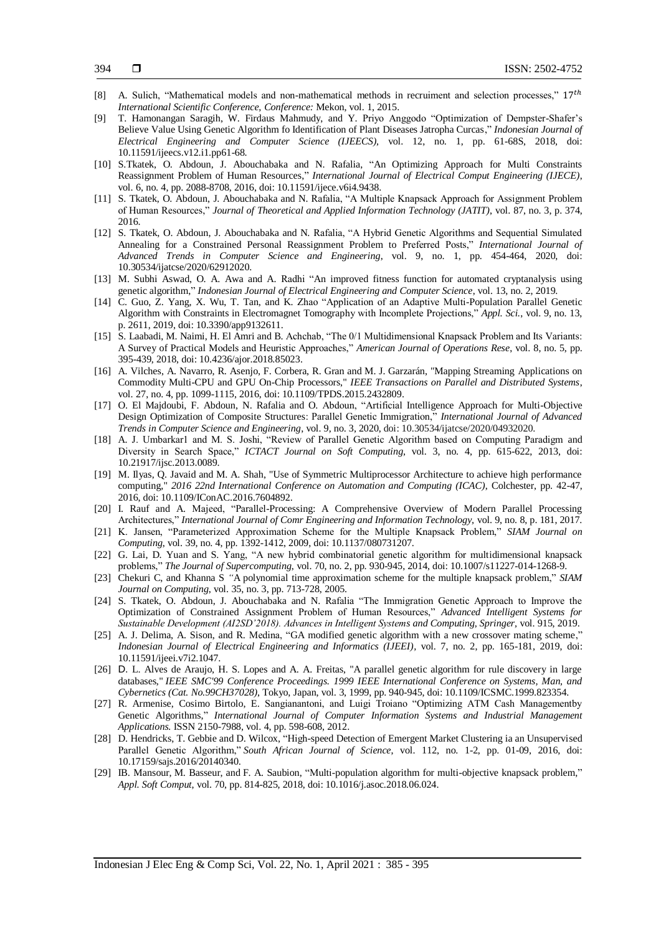- [8] A. Sulich, "Mathematical models and non-mathematical methods in recruiment and selection processes,"  $17<sup>th</sup>$ *International Scientific Conference, Conference:* Mekon, vol. 1, 2015.
- [9] T. Hamonangan Saragih, W. Firdaus Mahmudy, and Y. Priyo Anggodo "Optimization of Dempster-Shafer's Believe Value Using Genetic Algorithm fo Identification of Plant Diseases Jatropha Curcas," *Indonesian Journal of Electrical Engineering and Computer Science (IJEECS),* vol. 12, no. 1, pp. 61-68S, 2018*,* doi: 10.11591/ijeecs.v12.i1.pp61-68.
- [10] S.Tkatek, O. Abdoun, J. Abouchabaka and N. Rafalia, "An Optimizing Approach for Multi Constraints Reassignment Problem of Human Resources," *International Journal of Electrical Comput Engineering (IJECE)*, vol. 6, no. 4, pp. 2088-8708, 2016, doi: 10.11591/ijece.v6i4.9438.
- [11] S. Tkatek, O. Abdoun, J. Abouchabaka and N. Rafalia, "A Multiple Knapsack Approach for Assignment Problem of Human Resources," *Journal of Theoretical and Applied Information Technology (JATIT)*, vol. 87, no. 3, p. 374, 2016.
- [12] S. Tkatek, O. Abdoun, J. Abouchabaka and N. Rafalia, "A Hybrid Genetic Algorithms and Sequential Simulated Annealing for a Constrained Personal Reassignment Problem to Preferred Posts," *International Journal of Advanced Trends in Computer Science and Engineering*, vol. 9, no. 1, pp. 454-464, 2020, doi: 10.30534/ijatcse/2020/62912020.
- [13] M. Subhi Aswad, O. A. Awa and A. Radhi "An improved fitness function for automated cryptanalysis using genetic algorithm," *Indonesian Journal of Electrical Engineering and Computer Science*, vol. 13, no. 2, 2019.
- [14] C. Guo, Z. Yang, X. Wu, T. Tan, and K. Zhao "Application of an Adaptive Multi-Population Parallel Genetic Algorithm with Constraints in Electromagnet Tomography with Incomplete Projections," *Appl. Sci.*, vol. 9, no. 13, p. 2611, 2019, doi: 10.3390/app9132611.
- [15] S. Laabadi, M. Naimi, H. El Amri and B. Achchab, "The 0/1 Multidimensional Knapsack Problem and Its Variants: A Survey of Practical Models and Heuristic Approaches," *American Journal of Operations Rese*, vol. 8, no. 5, pp. 395-439, 2018, doi: 10.4236/ajor.2018.85023.
- [16] A. Vilches, A. Navarro, R. Asenjo, F. Corbera, R. Gran and M. J. Garzarán, "Mapping Streaming Applications on Commodity Multi-CPU and GPU On-Chip Processors," *IEEE Transactions on Parallel and Distributed Systems*, vol. 27, no. 4, pp. 1099-1115, 2016, doi: 10.1109/TPDS.2015.2432809.
- [17] O. El Majdoubi, F. Abdoun, N. Rafalia and O. Abdoun, "Artificial Intelligence Approach for Multi-Objective Design Optimization of Composite Structures: Parallel Genetic Immigration," *International Journal of Advanced Trends in Computer Science and Engineering*, vol. 9, no. 3, 2020, doi: 10.30534/ijatcse/2020/04932020.
- [18] A. J. Umbarkar1 and M. S. Joshi, "Review of Parallel Genetic Algorithm based on Computing Paradigm and Diversity in Search Space," *ICTACT Journal on Soft Computing*, vol. 3, no. 4, pp. 615-622, 2013, doi: 10.21917/ijsc.2013.0089.
- [19] M. Ilyas, Q. Javaid and M. A. Shah, "Use of Symmetric Multiprocessor Architecture to achieve high performance computing," *2016 22nd International Conference on Automation and Computing (ICAC)*, Colchester, pp. 42-47, 2016, doi: 10.1109/IConAC.2016.7604892.
- [20] I. Rauf and A. Majeed, "Parallel-Processing: A Comprehensive Overview of Modern Parallel Processing Architectures," *International Journal of Comr Engineering and Information Technology,* vol. 9, no. 8, p. 181, 2017.
- [21] K. Jansen, "Parameterized Approximation Scheme for the Multiple Knapsack Problem," *SIAM Journal on Computing*, vol. 39, no. 4, pp. 1392-1412, 2009, doi: 10.1137/080731207.
- [22] G. Lai, D. Yuan and S. Yang, "A new hybrid combinatorial genetic algorithm for multidimensional knapsack problems," *The Journal of Supercomputing*, vol. 70, no. 2, pp. 930-945, 2014, doi: 10.1007/s11227-014-1268-9.
- [23] Chekuri C, and Khanna S *"*A polynomial time approximation scheme for the multiple knapsack problem," *SIAM Journal on Computing*, vol. 35, no. 3, pp. 713-728, 2005.
- [24] S. Tkatek, O. Abdoun, J. Abouchabaka and N. Rafalia "The Immigration Genetic Approach to Improve the Optimization of Constrained Assignment Problem of Human Resources," *Advanced Intelligent Systems for Sustainable Development (AI2SD'2018). Advances in Intelligent Systems and Computing, Springer,* vol. 915, 2019.
- [25] A. J. Delima, A. Sison, and R. Medina, "GA modified genetic algorithm with a new crossover mating scheme," *Indonesian Journal of Electrical Engineering and Informatics (IJEEI),* vol. 7, no. 2, pp. 165-181, 2019, doi: 10.11591/ijeei.v7i2.1047.
- [26] D. L. Alves de Araujo, H. S. Lopes and A. A. Freitas, "A parallel genetic algorithm for rule discovery in large databases," *IEEE SMC'99 Conference Proceedings. 1999 IEEE International Conference on Systems, Man, and Cybernetics (Cat. No.99CH37028)*, Tokyo, Japan, vol. 3, 1999, pp. 940-945, doi: 10.1109/ICSMC.1999.823354.
- [27] R. Armenise, Cosimo Birtolo, E. Sangianantoni, and Luigi Troiano "Optimizing ATM Cash Managementby Genetic Algorithms," *International Journal of Computer Information Systems and Industrial Management Applications.* ISSN 2150-7988, vol. 4, pp. 598-608, 2012.
- [28] D. Hendricks, T. Gebbie and D. Wilcox, "High-speed Detection of Emergent Market Clustering ia an Unsupervised Parallel Genetic Algorithm," *[South African Journal of Science](http://www.scielo.org.za/scielo.php?script=sci_serial&pid=0038-2353&lng=en&nrm=iso)*, vol. 112, no. 1-2, pp. 01-09, 2016, doi: 10.17159/sajs.2016/20140340.
- [29] IB. Mansour, M. Basseur, and F. A. Saubion, "Multi-population algorithm for multi-objective knapsack problem," *Appl. Soft Comput*, vol. 70, pp. 814-825, 2018, doi: 10.1016/j.asoc.2018.06.024.